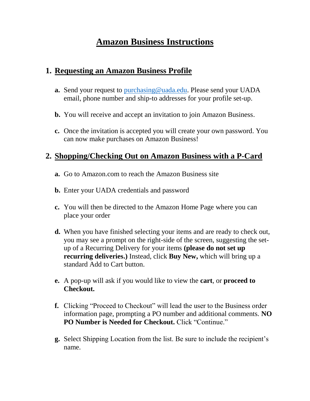## **Amazon Business Instructions**

## **1. Requesting an Amazon Business Profile**

- **a.** Send your request to [purchasing@uada.edu.](mailto:purchasing@uada.edu) Please send your UADA email, phone number and ship-to addresses for your profile set-up.
- **b.** You will receive and accept an invitation to join Amazon Business.
- **c.** Once the invitation is accepted you will create your own password. You can now make purchases on Amazon Business!

## **2. Shopping/Checking Out on Amazon Business with a P-Card**

- **a.** Go to Amazon.com to reach the Amazon Business site
- **b.** Enter your UADA credentials and password
- **c.** You will then be directed to the Amazon Home Page where you can place your order
- **d.** When you have finished selecting your items and are ready to check out, you may see a prompt on the right-side of the screen, suggesting the setup of a Recurring Delivery for your items **(please do not set up recurring deliveries.)** Instead, click **Buy New,** which will bring up a standard Add to Cart button.
- **e.** A pop-up will ask if you would like to view the **cart**, or **proceed to Checkout.**
- **f.** Clicking "Proceed to Checkout" will lead the user to the Business order information page, prompting a PO number and additional comments. **NO PO Number is Needed for Checkout.** Click "Continue."
- **g.** Select Shipping Location from the list. Be sure to include the recipient's name.